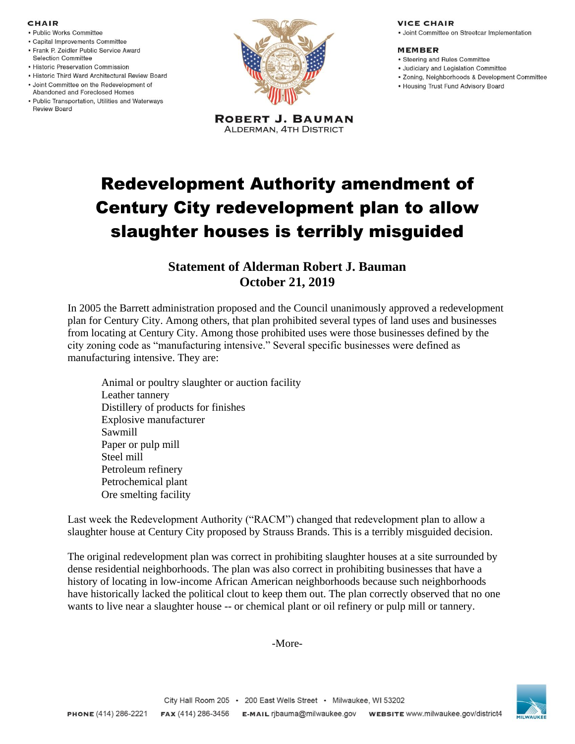### **CHAIR**

- · Public Works Committee
- · Capital Improvements Committee
- Frank P. Zeidler Public Service Award **Selection Committee**
- Historic Preservation Commission
- . Historic Third Ward Architectural Review Board
- · Joint Committee on the Redevelopment of Abandoned and Foreclosed Homes
- Public Transportation, Utilities and Waterways Review Board



**ROBERT J. BAUMAN ALDERMAN, 4TH DISTRICT** 

### **VICE CHAIR**

· Joint Committee on Streetcar Implementation

#### **MEMBER**

- Steering and Rules Committee
- · Judiciary and Legislation Committee
- · Zoning, Neighborhoods & Development Committee
- Housing Trust Fund Advisory Board

# Redevelopment Authority amendment of Century City redevelopment plan to allow slaughter houses is terribly misguided

## **Statement of Alderman Robert J. Bauman October 21, 2019**

In 2005 the Barrett administration proposed and the Council unanimously approved a redevelopment plan for Century City. Among others, that plan prohibited several types of land uses and businesses from locating at Century City. Among those prohibited uses were those businesses defined by the city zoning code as "manufacturing intensive." Several specific businesses were defined as manufacturing intensive. They are:

Animal or poultry slaughter or auction facility Leather tannery Distillery of products for finishes Explosive manufacturer Sawmill Paper or pulp mill Steel mill Petroleum refinery Petrochemical plant Ore smelting facility

Last week the Redevelopment Authority ("RACM") changed that redevelopment plan to allow a slaughter house at Century City proposed by Strauss Brands. This is a terribly misguided decision.

The original redevelopment plan was correct in prohibiting slaughter houses at a site surrounded by dense residential neighborhoods. The plan was also correct in prohibiting businesses that have a history of locating in low-income African American neighborhoods because such neighborhoods have historically lacked the political clout to keep them out. The plan correctly observed that no one wants to live near a slaughter house -- or chemical plant or oil refinery or pulp mill or tannery.

-More-